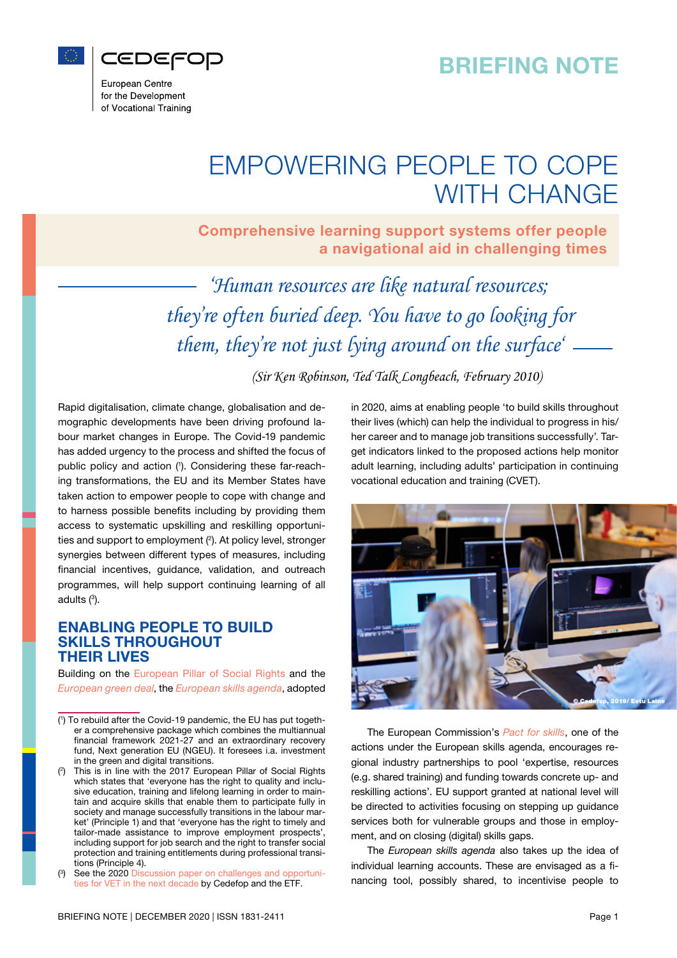## BRIEFING NOTE



European Centre for the Development of Vocational Training

# EMPOWERING PEOPLE TO COPE WITH CHANGE

Comprehensive learning support systems offer people a navigational aid in challenging times

*'Human resources are like natural resources; they're often buried deep. You have to go looking for them, they're not just lying around on the surface'*

*(Sir Ken Robinson, Ted Talk Longbeach, February 2010)*

Rapid digitalisation, climate change, globalisation and demographic developments have been driving profound labour market changes in Europe. The Covid-19 pandemic has added urgency to the process and shifted the focus of public policy and action (1). Considering these far-reaching transformations, the EU and its Member States have taken action to empower people to cope with change and to harness possible benefits including by providing them access to systematic upskilling and reskilling opportunities and support to employment (<sup>2</sup>). At policy level, stronger synergies between different types of measures, including financial incentives, guidance, validation, and outreach programmes, will help support continuing learning of all adults (3 ).

### ENABLING PEOPLE TO BUILD SKILLS THROUGHOUT THEIR LIVES

Building on the [European Pillar of Social Rights](https://ec.europa.eu/info/strategy/priorities-2019-2024/economy-works-people/deeper-and-fairer-economic-and-monetary-union/european-pillar-social-rights_en) and the *[European green deal](https://eur-lex.europa.eu/legal-content/EN/TXT/?qid=1576150542719&uri=COM%3A2019%3A640%3AFIN)*, the *[European skills agenda](https://ec.europa.eu/social/main.jsp?catId=1223&langId=en)*, adopted in 2020, aims at enabling people 'to build skills throughout their lives (which) can help the individual to progress in his/ her career and to manage job transitions successfully'. Target indicators linked to the proposed actions help monitor adult learning, including adults' participation in continuing vocational education and training (CVET).



The European Commission's *[Pact for skills](https://ec.europa.eu/social/main.jsp?catId=1517&langId=en)*, one of the actions under the European skills agenda, encourages regional industry partnerships to pool 'expertise, resources (e.g. shared training) and funding towards concrete up- and reskilling actions'. EU support granted at national level will be directed to activities focusing on stepping up guidance services both for vulnerable groups and those in employment, and on closing (digital) skills gaps.

The *European skills agenda* also takes up the idea of individual learning accounts. These are envisaged as a financing tool, possibly shared, to incentivise people to

<sup>(</sup> 1 ) To rebuild after the Covid-19 pandemic, the EU has put together a comprehensive package which combines the multiannual financial framework 2021-27 and an extraordinary recovery fund, Next generation EU (NGEU). It foresees i.a. investment in the green and digital transitions.

<sup>(</sup> 2 This is in line with the 2017 European Pillar of Social Rights which states that 'everyone has the right to quality and inclusive education, training and lifelong learning in order to maintain and acquire skills that enable them to participate fully in society and manage successfully transitions in the labour market' (Principle 1) and that 'everyone has the right to timely and tailor-made assistance to improve employment prospects', including support for job search and the right to transfer social protection and training entitlements during professional transitions (Principle 4).

<sup>(</sup> 3 See the 2020 [Discussion paper on challenges and opportuni](https://www.cedefop.europa.eu/en/publications-and-resources/publications/4186)[ties for VET in the next decade](https://www.cedefop.europa.eu/en/publications-and-resources/publications/4186) by Cedefop and the ETF.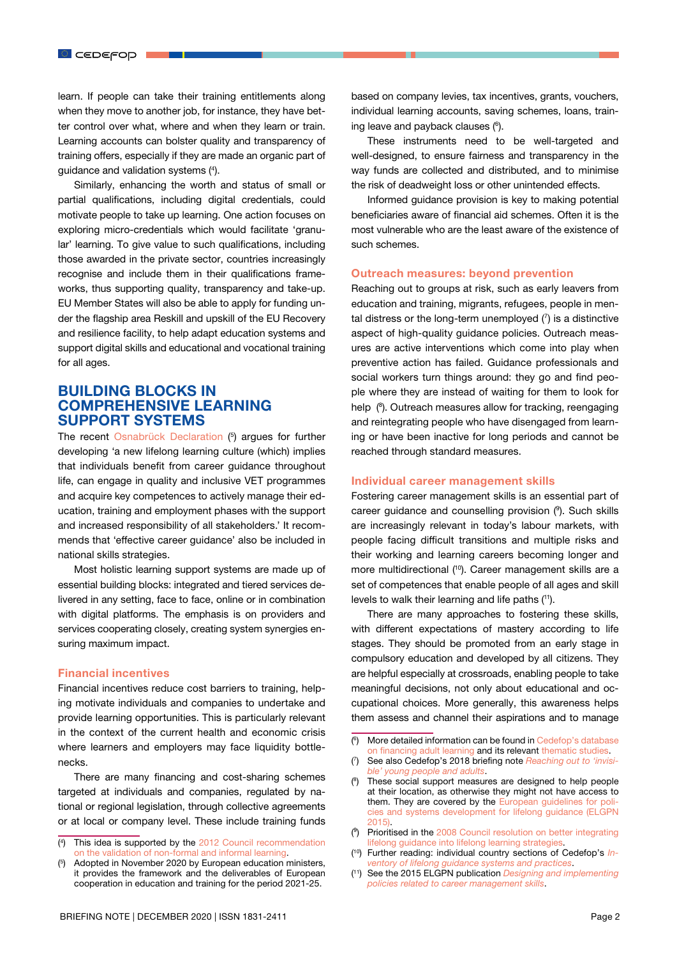learn. If people can take their training entitlements along when they move to another job, for instance, they have better control over what, where and when they learn or train. Learning accounts can bolster quality and transparency of training offers, especially if they are made an organic part of guidance and validation systems (4 ).

Similarly, enhancing the worth and status of small or partial qualifications, including digital credentials, could motivate people to take up learning. One action focuses on exploring micro-credentials which would facilitate 'granular' learning. To give value to such qualifications, including those awarded in the private sector, countries increasingly recognise and include them in their qualifications frameworks, thus supporting quality, transparency and take-up. EU Member States will also be able to apply for funding under the flagship area Reskill and upskill of the EU Recovery and resilience facility, to help adapt education systems and support digital skills and educational and vocational training for all ages.

## BUILDING BLOCKS IN COMPREHENSIVE LEARNING SUPPORT SYSTEMS

The recent [Osnabrück Declaration](https://www.bmbf.de/files/Osnabrueck-Declaration.pdf) (<sup>5</sup>) argues for further developing 'a new lifelong learning culture (which) implies that individuals benefit from career guidance throughout life, can engage in quality and inclusive VET programmes and acquire key competences to actively manage their education, training and employment phases with the support and increased responsibility of all stakeholders.' It recommends that 'effective career guidance' also be included in national skills strategies.

Most holistic learning support systems are made up of essential building blocks: integrated and tiered services delivered in any setting, face to face, online or in combination with digital platforms. The emphasis is on providers and services cooperating closely, creating system synergies ensuring maximum impact.

#### Financial incentives

Financial incentives reduce cost barriers to training, helping motivate individuals and companies to undertake and provide learning opportunities. This is particularly relevant in the context of the current health and economic crisis where learners and employers may face liquidity bottlenecks.

There are many financing and cost-sharing schemes targeted at individuals and companies, regulated by national or regional legislation, through collective agreements or at local or company level. These include training funds

These instruments need to be well-targeted and well-designed, to ensure fairness and transparency in the way funds are collected and distributed, and to minimise the risk of deadweight loss or other unintended effects.

Informed guidance provision is key to making potential beneficiaries aware of financial aid schemes. Often it is the most vulnerable who are the least aware of the existence of such schemes.

#### Outreach measures: beyond prevention

Reaching out to groups at risk, such as early leavers from education and training, migrants, refugees, people in mental distress or the long-term unemployed  $(7)$  is a distinctive aspect of high-quality guidance policies. Outreach measures are active interventions which come into play when preventive action has failed. Guidance professionals and social workers turn things around: they go and find people where they are instead of waiting for them to look for help (<sup>8</sup>). Outreach measures allow for tracking, reengaging and reintegrating people who have disengaged from learning or have been inactive for long periods and cannot be reached through standard measures.

#### Individual career management skills

Fostering career management skills is an essential part of career guidance and counselling provision (9 ). Such skills are increasingly relevant in today's labour markets, with people facing difficult transitions and multiple risks and their working and learning careers becoming longer and more multidirectional (<sup>10</sup>). Career management skills are a set of competences that enable people of all ages and skill levels to walk their learning and life paths (11).

There are many approaches to fostering these skills, with different expectations of mastery according to life stages. They should be promoted from an early stage in compulsory education and developed by all citizens. They are helpful especially at crossroads, enabling people to take meaningful decisions, not only about educational and occupational choices. More generally, this awareness helps them assess and channel their aspirations and to manage

- ( 6 ) More detailed information can be found in [Cedefop's database](https://www.cedefop.europa.eu/en/publications-and-resources/tools/financing-adult-learning-db) [on financing adult learning](https://www.cedefop.europa.eu/en/publications-and-resources/tools/financing-adult-learning-db) and its relevant [thematic studies](https://www.cedefop.europa.eu/en/events-and-projects/projects/financing-vet/publications).
- ( 7 ) See also Cedefop's 2018 briefing note *[Reaching out to 'invisi](https://www.cedefop.europa.eu/el/publications-and-resources/publications/9128)[ble' young people and adults](https://www.cedefop.europa.eu/el/publications-and-resources/publications/9128)*.
- ( 8 ) These social support measures are designed to help people at their location, as otherwise they might not have access to them. They are covered by the [European guidelines for poli](http://www.elgpn.eu/publications/browse-by-language/english/elgpn-tools-no-6-guidelines-for-policies-and-systems-development-for-lifelong-guidance/)[cies and systems development for lifelong guidance \(ELGPN](http://www.elgpn.eu/publications/browse-by-language/english/elgpn-tools-no-6-guidelines-for-policies-and-systems-development-for-lifelong-guidance/) [2015\)](http://www.elgpn.eu/publications/browse-by-language/english/elgpn-tools-no-6-guidelines-for-policies-and-systems-development-for-lifelong-guidance/).
- $(9)$  Prioritised in the [2008 Council resolution on better integrating](https://eur-lex.europa.eu/LexUriServ/LexUriServ.do?uri=OJ%3AC%3A2008%3A319%3A0004%3A0007%3AEN%3APDF) [lifelong guidance into lifelong learning strategies](https://eur-lex.europa.eu/LexUriServ/LexUriServ.do?uri=OJ%3AC%3A2008%3A319%3A0004%3A0007%3AEN%3APDF).
- ( 10) Further reading: individual country sections of Cedefop's *[In](https://www.cedefop.europa.eu/en/publications-and-resources/country-reports/inventory-lifelong-guidance-systems-and-practices)[ventory of lifelong guidance systems and practices](https://www.cedefop.europa.eu/en/publications-and-resources/country-reports/inventory-lifelong-guidance-systems-and-practices)*.
- ( 11) See the 2015 ELGPN publication *[Designing and implementing](http://www.elgpn.eu/publications/browse-by-language/english/ELGPN_CMS_tool_no_4_web.pdf) [policies related to career management skills](http://www.elgpn.eu/publications/browse-by-language/english/ELGPN_CMS_tool_no_4_web.pdf)*.

 $($ <sup>4</sup> ) This idea is supported by the [2012 Council recommendation](https://eur-lex.europa.eu/legal-content/EN/TXT/?uri=celex%3A32012H1222%2801%29) [on the validation of non-formal and informal learning.](https://eur-lex.europa.eu/legal-content/EN/TXT/?uri=celex%3A32012H1222%2801%29)

<sup>(</sup> 5 Adopted in November 2020 by European education ministers, it provides the framework and the deliverables of European cooperation in education and training for the period 2021-25.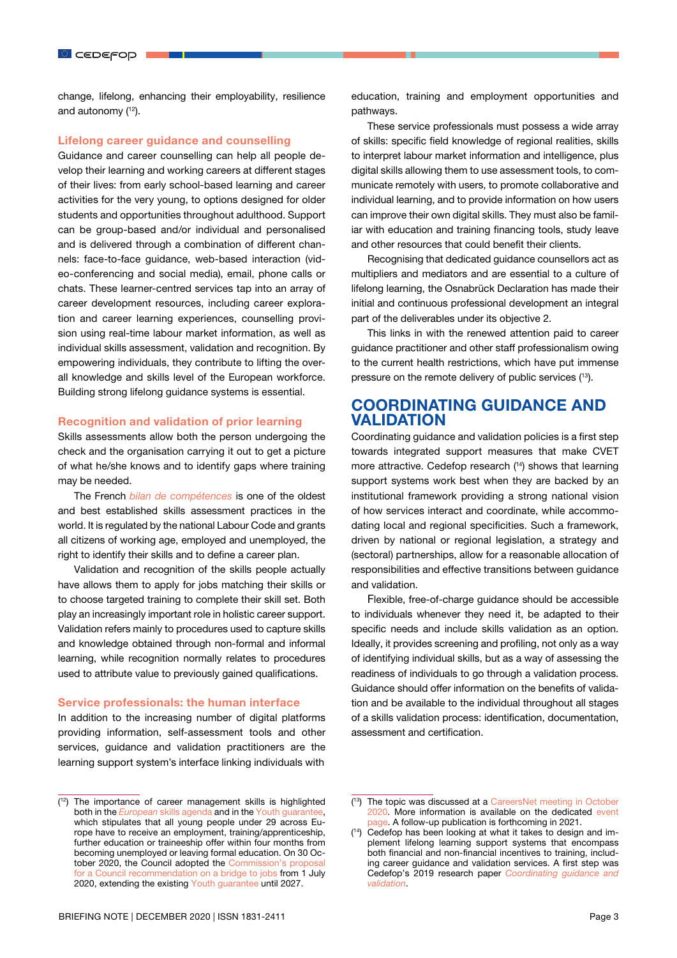change, lifelong, enhancing their employability, resilience and autonomy  $(12)$ .

#### Lifelong career guidance and counselling

Guidance and career counselling can help all people develop their learning and working careers at different stages of their lives: from early school-based learning and career activities for the very young, to options designed for older students and opportunities throughout adulthood. Support can be group-based and/or individual and personalised and is delivered through a combination of different channels: face-to-face guidance, web-based interaction (video-conferencing and social media), email, phone calls or chats. These learner-centred services tap into an array of career development resources, including career exploration and career learning experiences, counselling provision using real-time labour market information, as well as individual skills assessment, validation and recognition. By empowering individuals, they contribute to lifting the overall knowledge and skills level of the European workforce. Building strong lifelong guidance systems is essential.

#### Recognition and validation of prior learning

Skills assessments allow both the person undergoing the check and the organisation carrying it out to get a picture of what he/she knows and to identify gaps where training may be needed.

The French *[bilan de compétences](https://travail-emploi.gouv.fr/formation-professionnelle/droit-a-la-formation-et-orientation-professionnelle/bilan-competences)* is one of the oldest and best established skills assessment practices in the world. It is regulated by the national Labour Code and grants all citizens of working age, employed and unemployed, the right to identify their skills and to define a career plan.

Validation and recognition of the skills people actually have allows them to apply for jobs matching their skills or to choose targeted training to complete their skill set. Both play an increasingly important role in holistic career support. Validation refers mainly to procedures used to capture skills and knowledge obtained through non-formal and informal learning, while recognition normally relates to procedures used to attribute value to previously gained qualifications.

#### Service professionals: the human interface

In addition to the increasing number of digital platforms providing information, self-assessment tools and other services, quidance and validation practitioners are the learning support system's interface linking individuals with

education, training and employment opportunities and pathways.

These service professionals must possess a wide array of skills: specific field knowledge of regional realities, skills to interpret labour market information and intelligence, plus digital skills allowing them to use assessment tools, to communicate remotely with users, to promote collaborative and individual learning, and to provide information on how users can improve their own digital skills. They must also be familiar with education and training financing tools, study leave and other resources that could benefit their clients.

Recognising that dedicated guidance counsellors act as multipliers and mediators and are essential to a culture of lifelong learning, the Osnabrück Declaration has made their initial and continuous professional development an integral part of the deliverables under its objective 2.

This links in with the renewed attention paid to career guidance practitioner and other staff professionalism owing to the current health restrictions, which have put immense pressure on the remote delivery of public services (13).

## COORDINATING GUIDANCE AND VALIDATION

Coordinating guidance and validation policies is a first step towards integrated support measures that make CVET more attractive. Cedefop research (<sup>14</sup>) shows that learning support systems work best when they are backed by an institutional framework providing a strong national vision of how services interact and coordinate, while accommodating local and regional specificities. Such a framework, driven by national or regional legislation, a strategy and (sectoral) partnerships, allow for a reasonable allocation of responsibilities and effective transitions between guidance and validation.

Flexible, free-of-charge guidance should be accessible to individuals whenever they need it, be adapted to their specific needs and include skills validation as an option. Ideally, it provides screening and profiling, not only as a way of identifying individual skills, but as a way of assessing the readiness of individuals to go through a validation process. Guidance should offer information on the benefits of validation and be available to the individual throughout all stages of a skills validation process: identification, documentation, assessment and certification.

<sup>(</sup> 12) The importance of career management skills is highlighted both in the *European* [skills agenda](https://ec.europa.eu/social/main.jsp?langId=en&catId=1223&moreDocuments=yes) and in the [Youth guarantee](https://ec.europa.eu/social/main.jsp?catId=1079&langId=en), which stipulates that all young people under 29 across Europe have to receive an employment, training/apprenticeship, further education or traineeship offer within four months from becoming unemployed or leaving formal education. On 30 October 2020, the Council adopted the [Commission's proposal](https://eur-lex.europa.eu/legal-content/EN/TXT/?uri=COM:2020:277:FIN) or a Council recommendation on a bridge to jobs from 1 July 2020, extending the existing [Youth guarantee](https://ec.europa.eu/social/main.jsp?catId=1079&langId=en) until 2027.

<sup>(</sup> 13) The topic was discussed at a [CareersNet meeting in October](https://www.cedefop.europa.eu/en/news-and-press/news/career-guidance-policy-digital-context-discussed-careersnet-meeting) [2020.](https://www.cedefop.europa.eu/en/news-and-press/news/career-guidance-policy-digital-context-discussed-careersnet-meeting) More information is available on the dedicated [event](https://www.cedefop.europa.eu/en/events-and-projects/events/fourth-careersnet-annual-meeting) bage. A follow-up publication is forthcoming in 2021.

<sup>(</sup> 14) Cedefop has been looking at what it takes to design and implement lifelong learning support systems that encompass both financial and non-financial incentives to training, including career guidance and validation services. A first step was Cedefop's 2019 research paper *[Coordinating guidance and](https://www.cedefop.europa.eu/en/publications-and-resources/publications/5575) [validation](https://www.cedefop.europa.eu/en/publications-and-resources/publications/5575)*.